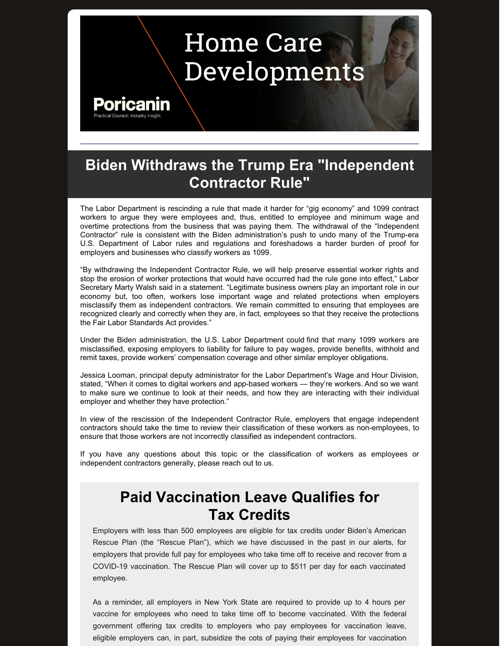# **Home Care** Developments

### Poricar

#### **Biden Withdraws the Trump Era "Independent Contractor Rule"**

The Labor Department is rescinding a rule that made it harder for "gig economy" and 1099 contract workers to argue they were employees and, thus, entitled to employee and minimum wage and overtime protections from the business that was paying them. The withdrawal of the "Independent Contractor" rule is consistent with the Biden administration's push to undo many of the Trump-era U.S. Department of Labor rules and regulations and foreshadows a harder burden of proof for employers and businesses who classify workers as 1099.

"By withdrawing the Independent Contractor Rule, we will help preserve essential worker rights and stop the erosion of worker protections that would have occurred had the rule gone into effect," Labor Secretary Marty Walsh said in a statement. "Legitimate business owners play an important role in our economy but, too often, workers lose important wage and related protections when employers misclassify them as independent contractors. We remain committed to ensuring that employees are recognized clearly and correctly when they are, in fact, employees so that they receive the protections the Fair Labor Standards Act provides."

Under the Biden administration, the U.S. Labor Department could find that many 1099 workers are misclassified, exposing employers to liability for failure to pay wages, provide benefits, withhold and remit taxes, provide workers' compensation coverage and other similar employer obligations.

Jessica Looman, principal deputy administrator for the Labor Department's Wage and Hour Division, stated, "When it comes to digital workers and app-based workers — they're workers. And so we want to make sure we continue to look at their needs, and how they are interacting with their individual employer and whether they have protection."

In view of the rescission of the Independent Contractor Rule, employers that engage independent contractors should take the time to review their classification of these workers as non-employees, to ensure that those workers are not incorrectly classified as independent contractors.

If you have any questions about this topic or the classification of workers as employees or independent contractors generally, please reach out to us.

#### **Paid Vaccination Leave Qualifies for Tax Credits**

Employers with less than 500 employees are eligible for tax credits under Biden's American Rescue Plan (the "Rescue Plan"), which we have discussed in the past in our alerts, for employers that provide full pay for employees who take time off to receive and recover from a COVID-19 vaccination. The Rescue Plan will cover up to \$511 per day for each vaccinated employee.

As a reminder, all employers in New York State are required to provide up to 4 hours per vaccine for employees who need to take time off to become vaccinated. With the federal government offering tax credits to employers who pay employees for vaccination leave, eligible employers can, in part, subsidize the cots of paying their employees for vaccination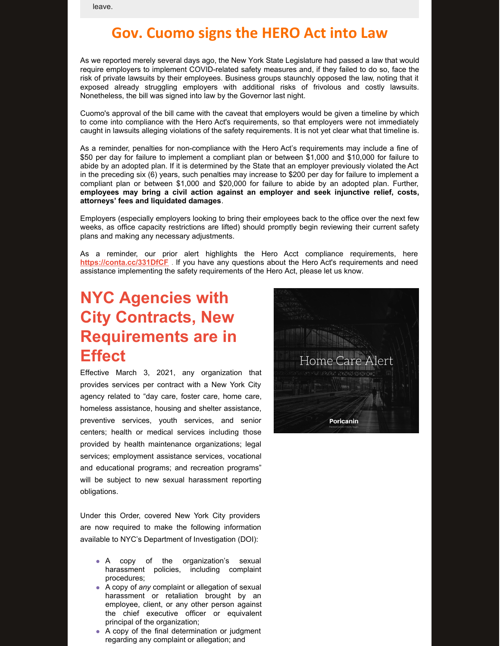leave.

#### **Gov. Cuomo signs the HERO Act into Law**

As we reported merely several days ago, the New York State Legislature had passed a law that would require employers to implement COVID-related safety measures and, if they failed to do so, face the risk of private lawsuits by their employees. Business groups staunchly opposed the law, noting that it exposed already struggling employers with additional risks of frivolous and costly lawsuits. Nonetheless, the bill was signed into law by the Governor last night.

Cuomo's approval of the bill came with the caveat that employers would be given a timeline by which to come into compliance with the Hero Act's requirements, so that employers were not immediately caught in lawsuits alleging violations of the safety requirements. It is not yet clear what that timeline is.

As a reminder, penalties for non-compliance with the Hero Act's requirements may include a fine of \$50 per day for failure to implement a compliant plan or between \$1,000 and \$10,000 for failure to abide by an adopted plan. If it is determined by the State that an employer previously violated the Act in the preceding six (6) years, such penalties may increase to \$200 per day for failure to implement a compliant plan or between \$1,000 and \$20,000 for failure to abide by an adopted plan. Further, **employees may bring a civil action against an employer and seek injunctive relief, costs, attorneys' fees and liquidated damages**.

Employers (especially employers looking to bring their employees back to the office over the next few weeks, as office capacity restrictions are lifted) should promptly begin reviewing their current safety plans and making any necessary adjustments.

As a reminder, our prior alert highlights the Hero Acct compliance requirements, here **<https://conta.cc/331DfCF>** . If you have any questions about the Hero Act's requirements and need assistance implementing the safety requirements of the Hero Act, please let us know.

### **NYC Agencies with City Contracts, New Requirements are in Effect**

Effective March 3, 2021, any organization that provides services per contract with a New York City agency related to "day care, foster care, home care, homeless assistance, housing and shelter assistance, preventive services, youth services, and senior centers; health or medical services including those provided by health maintenance organizations; legal services; employment assistance services, vocational and educational programs; and recreation programs" will be subject to new sexual harassment reporting obligations.

Under this Order, covered New York City providers are now required to make the following information available to NYC's Department of Investigation (DOI):

- A copy of the organization's sexual harassment policies, including complaint procedures;
- A copy of *any* complaint or allegation of sexual harassment or retaliation brought by an employee, client, or any other person against the chief executive officer or equivalent principal of the organization;
- A copy of the final determination or judgment regarding any complaint or allegation; and

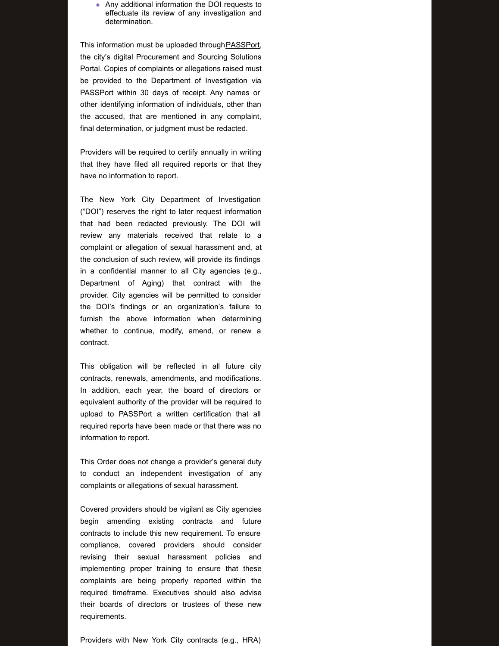Any additional information the DOI requests to effectuate its review of any investigation and determination.

This information must be uploaded through [PASSPort](https://www1.nyc.gov/site/mocs/systems/about-go-to-passport.page), the city's digital Procurement and Sourcing Solutions Portal. Copies of complaints or allegations raised must be provided to the Department of Investigation via PASSPort within 30 days of receipt. Any names or other identifying information of individuals, other than the accused, that are mentioned in any complaint, final determination, or judgment must be redacted.

Providers will be required to certify annually in writing that they have filed all required reports or that they have no information to report.

The New York City Department of Investigation ("DOI") reserves the right to later request information that had been redacted previously. The DOI will review any materials received that relate to a complaint or allegation of sexual harassment and, at the conclusion of such review, will provide its findings in a confidential manner to all City agencies (e.g., Department of Aging) that contract with the provider. City agencies will be permitted to consider the DOI's findings or an organization's failure to furnish the above information when determining whether to continue, modify, amend, or renew a contract.

This obligation will be reflected in all future city contracts, renewals, amendments, and modifications. In addition, each year, the board of directors or equivalent authority of the provider will be required to upload to PASSPort a written certification that all required reports have been made or that there was no information to report.

This Order does not change a provider's general duty to conduct an independent investigation of any complaints or allegations of sexual harassment.

Covered providers should be vigilant as City agencies begin amending existing contracts and future contracts to include this new requirement. To ensure compliance, covered providers should consider revising their sexual harassment policies and implementing proper training to ensure that these complaints are being properly reported within the required timeframe. Executives should also advise their boards of directors or trustees of these new requirements.

Providers with New York City contracts (e.g., HRA)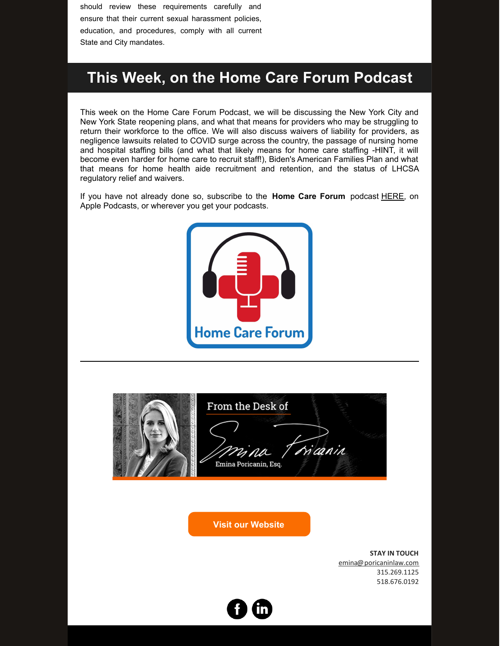should review these requirements carefully and ensure that their current sexual harassment policies, education, and procedures, comply with all current State and City mandates.

#### **This Week, on the Home Care Forum Podcast**

This week on the Home Care Forum Podcast, we will be discussing the New York City and New York State reopening plans, and what that means for providers who may be struggling to return their workforce to the office. We will also discuss waivers of liability for providers, as negligence lawsuits related to COVID surge across the country, the passage of nursing home and hospital staffing bills (and what that likely means for home care staffing -HINT, it will become even harder for home care to recruit staff!), Biden's American Families Plan and what that means for home health aide recruitment and retention, and the status of LHCSA regulatory relief and waivers.

If you have not already done so, subscribe to the **Home Care Forum** podcast [HERE](https://podcasts.google.com/feed/aHR0cHM6Ly9mZWVkcy5idXp6c3Byb3V0LmNvbS84MTY1NDEucnNz?ep=14), on Apple Podcasts, or wherever you get your podcasts.



| From the Desk of                       |
|----------------------------------------|
| Mina Tricanin<br>Emina Poricanin, Esq. |

**Visit our [Website](https://poricaninlaw.com)**

**STAY IN TOUCH** [emina@poricaninlaw.com](mailto:e@poricanin.com) 315.269.1125 518.676.0192